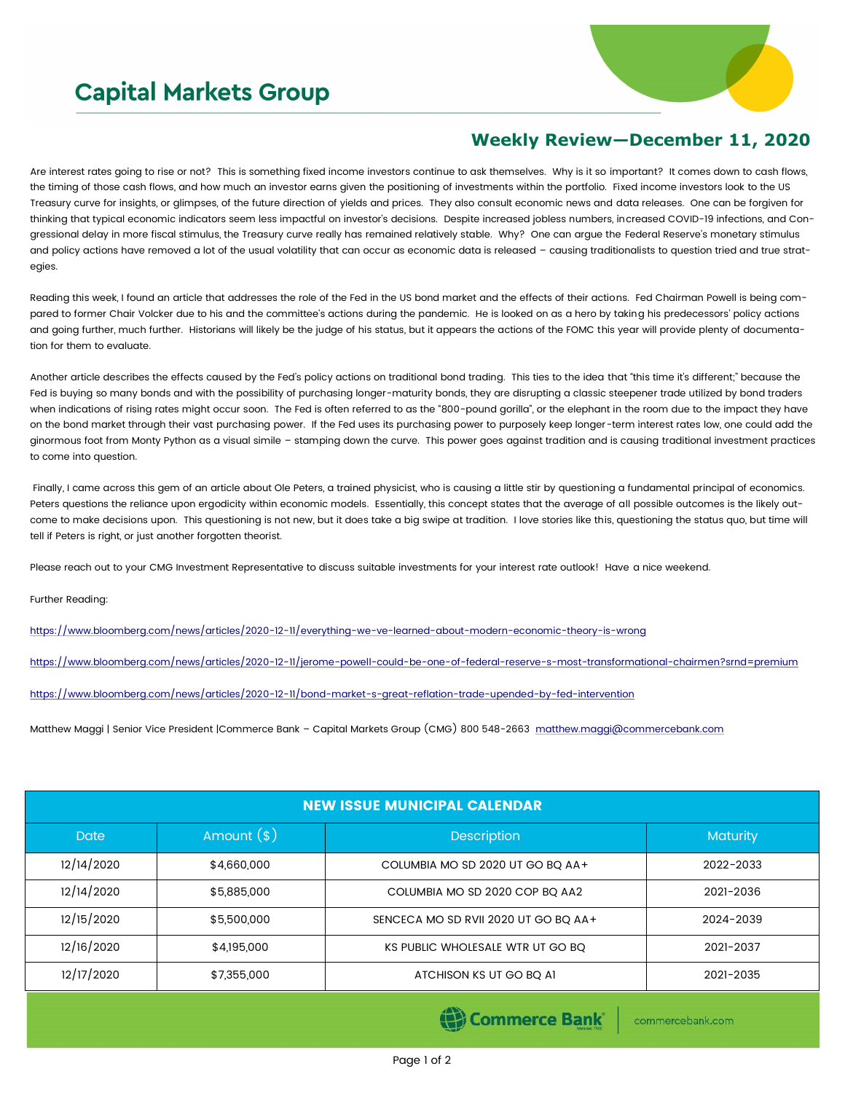## **Capital Markets Group**



## **Weekly Review—December 11, 2020**

Are interest rates going to rise or not? This is something fixed income investors continue to ask themselves. Why is it so important? It comes down to cash flows, the timing of those cash flows, and how much an investor earns given the positioning of investments within the portfolio. Fixed income investors look to the US Treasury curve for insights, or glimpses, of the future direction of yields and prices. They also consult economic news and data releases. One can be forgiven for thinking that typical economic indicators seem less impactful on investor's decisions. Despite increased jobless numbers, increased COVID-19 infections, and Congressional delay in more fiscal stimulus, the Treasury curve really has remained relatively stable. Why? One can argue the Federal Reserve's monetary stimulus and policy actions have removed a lot of the usual volatility that can occur as economic data is released – causing traditionalists to question tried and true strategies.

Reading this week, I found an article that addresses the role of the Fed in the US bond market and the effects of their actions. Fed Chairman Powell is being compared to former Chair Volcker due to his and the committee's actions during the pandemic. He is looked on as a hero by taking his predecessors' policy actions and going further, much further. Historians will likely be the judge of his status, but it appears the actions of the FOMC this year will provide plenty of documentation for them to evaluate.

Another article describes the effects caused by the Fed's policy actions on traditional bond trading. This ties to the idea that "this time it's different;" because the Fed is buying so many bonds and with the possibility of purchasing longer-maturity bonds, they are disrupting a classic steepener trade utilized by bond traders when indications of rising rates might occur soon. The Fed is often referred to as the "800-pound gorilla", or the elephant in the room due to the impact they have on the bond market through their vast purchasing power. If the Fed uses its purchasing power to purposely keep longer-term interest rates low, one could add the ginormous foot from Monty Python as a visual simile – stamping down the curve. This power goes against tradition and is causing traditional investment practices to come into question.

Finally, I came across this gem of an article about Ole Peters, a trained physicist, who is causing a little stir by questioning a fundamental principal of economics. Peters questions the reliance upon ergodicity within economic models. Essentially, this concept states that the average of all possible outcomes is the likely outcome to make decisions upon. This questioning is not new, but it does take a big swipe at tradition. I love stories like this, questioning the status quo, but time will tell if Peters is right, or just another forgotten theorist.

Please reach out to your CMG Investment Representative to discuss suitable investments for your interest rate outlook! Have a nice weekend.

Further Reading:

<https://www.bloomberg.com/news/articles/2020-12-11/everything-we-ve-learned-about-modern-economic-theory-is-wrong>

<https://www.bloomberg.com/news/articles/2020-12-11/jerome-powell-could-be-one-of-federal-reserve-s-most-transformational-chairmen?srnd=premium>

<https://www.bloomberg.com/news/articles/2020-12-11/bond-market-s-great-reflation-trade-upended-by-fed-intervention>

Matthew Maggi | Senior Vice President |Commerce Bank – Capital Markets Group (CMG) 800 548-2663 [matthew.maggi@commercebank.com](mailto:matthew.maggi@commercebank.com)

| <b>NEW ISSUE MUNICIPAL CALENDAR</b> |              |                                      |                 |  |  |  |
|-------------------------------------|--------------|--------------------------------------|-----------------|--|--|--|
| <b>Date</b>                         | Amount $(*)$ | <b>Description</b>                   | <b>Maturity</b> |  |  |  |
| 12/14/2020                          | \$4,660,000  | COLUMBIA MO SD 2020 UT GO BO AA+     | 2022-2033       |  |  |  |
| 12/14/2020                          | \$5,885,000  | COLUMBIA MO SD 2020 COP BQ AA2       | 2021-2036       |  |  |  |
| 12/15/2020                          | \$5,500,000  | SENCECA MO SD RVII 2020 UT GO BO AA+ | 2024-2039       |  |  |  |
| 12/16/2020                          | \$4,195,000  | KS PUBLIC WHOLESALE WTR UT GO BQ     | 2021-2037       |  |  |  |
| 12/17/2020                          | \$7,355,000  | ATCHISON KS UT GO BO AI              | 2021-2035       |  |  |  |

(e) Commerce Bank

commercebank.com